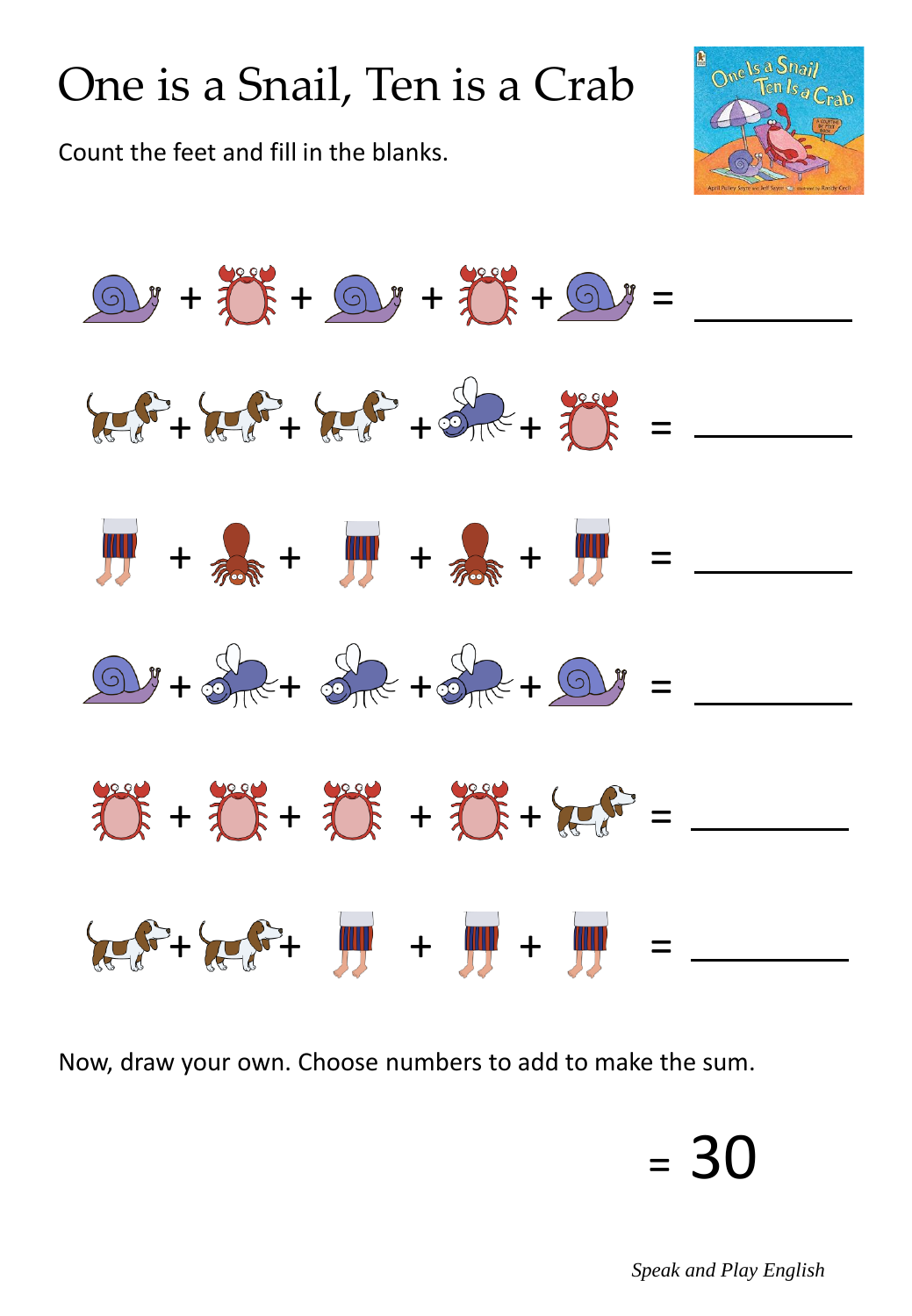## One is a Snail, Ten is a Crab

Count the feet and fill in the blanks.





Now, draw your own. Choose numbers to add to make the sum.

## = 30

*Speak and Play English*